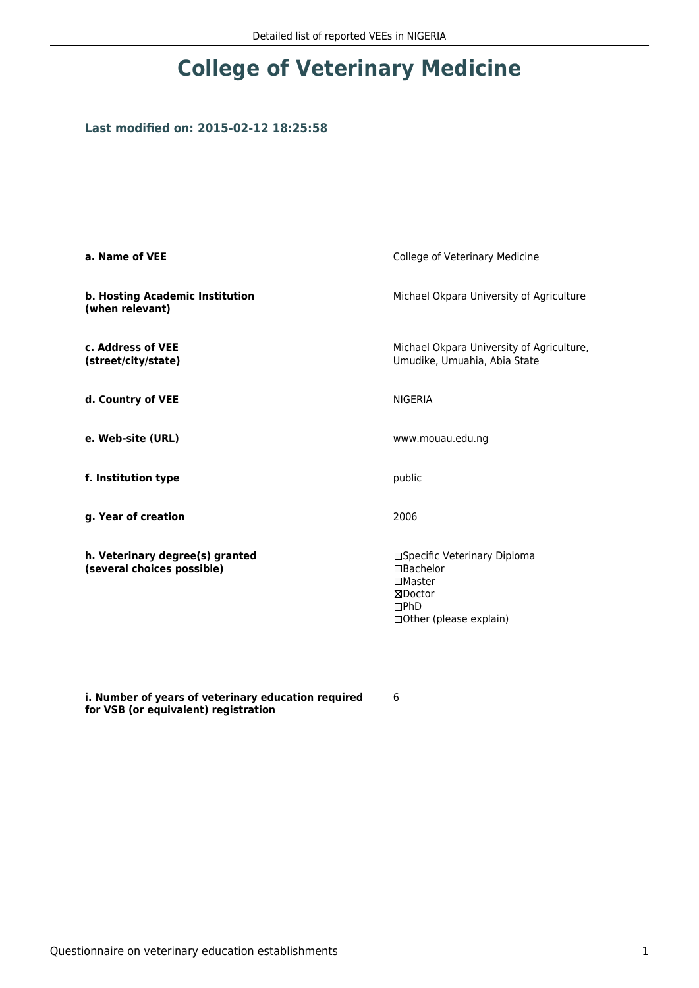# **College of Veterinary Medicine**

### **Last modified on: 2015-02-12 18:25:58**

| a. Name of VEE                                                | College of Veterinary Medicine                                                                               |
|---------------------------------------------------------------|--------------------------------------------------------------------------------------------------------------|
| b. Hosting Academic Institution<br>(when relevant)            | Michael Okpara University of Agriculture                                                                     |
| c. Address of VEE<br>(street/city/state)                      | Michael Okpara University of Agriculture,<br>Umudike, Umuahia, Abia State                                    |
| d. Country of VEE                                             | <b>NIGERIA</b>                                                                                               |
| e. Web-site (URL)                                             | www.mouau.edu.ng                                                                                             |
| f. Institution type                                           | public                                                                                                       |
| g. Year of creation                                           | 2006                                                                                                         |
| h. Veterinary degree(s) granted<br>(several choices possible) | □Specific Veterinary Diploma<br>□Bachelor<br>$\square$ Master<br>⊠Doctor<br>DPhD<br>□ Other (please explain) |

**i. Number of years of veterinary education required for VSB (or equivalent) registration**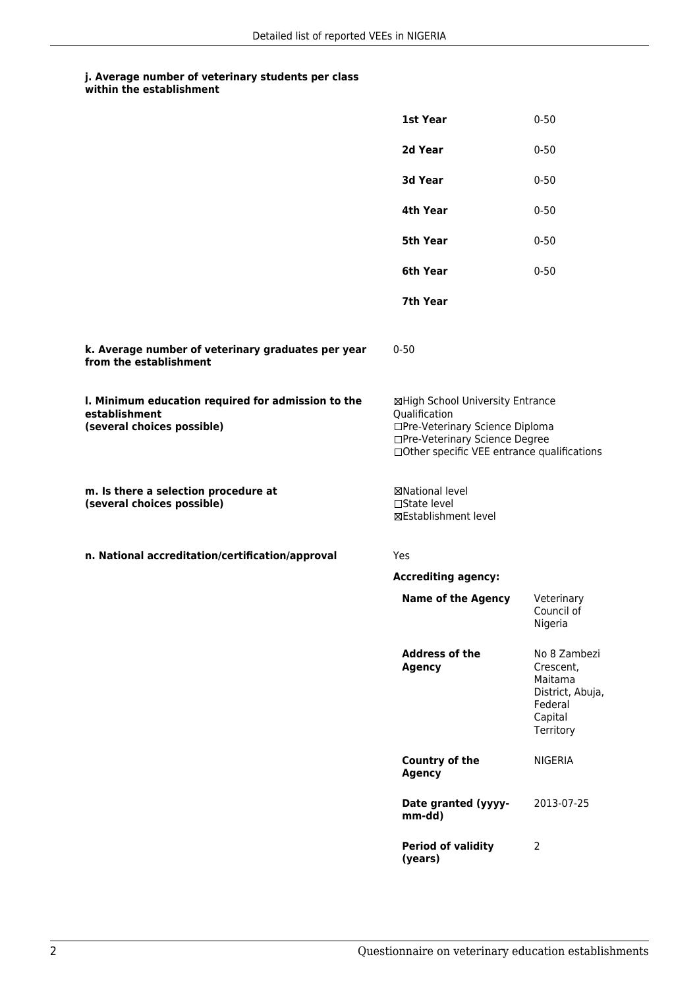#### **j. Average number of veterinary students per class within the establishment**

|                                                                                                   | 1st Year                                                                                                                                                              | $0 - 50$                                                                                    |
|---------------------------------------------------------------------------------------------------|-----------------------------------------------------------------------------------------------------------------------------------------------------------------------|---------------------------------------------------------------------------------------------|
|                                                                                                   | 2d Year                                                                                                                                                               | $0 - 50$                                                                                    |
|                                                                                                   | 3d Year                                                                                                                                                               | $0 - 50$                                                                                    |
|                                                                                                   | 4th Year                                                                                                                                                              | $0 - 50$                                                                                    |
|                                                                                                   | 5th Year                                                                                                                                                              | $0 - 50$                                                                                    |
|                                                                                                   | 6th Year                                                                                                                                                              | $0 - 50$                                                                                    |
|                                                                                                   | 7th Year                                                                                                                                                              |                                                                                             |
| k. Average number of veterinary graduates per year<br>from the establishment                      | $0 - 50$                                                                                                                                                              |                                                                                             |
| I. Minimum education required for admission to the<br>establishment<br>(several choices possible) | ⊠High School University Entrance<br>Qualification<br>□Pre-Veterinary Science Diploma<br>□Pre-Veterinary Science Degree<br>□Other specific VEE entrance qualifications |                                                                                             |
| m. Is there a selection procedure at<br>(several choices possible)                                | ⊠National level<br>$\Box$ State level<br>⊠Establishment level                                                                                                         |                                                                                             |
| n. National accreditation/certification/approval                                                  | Yes                                                                                                                                                                   |                                                                                             |
|                                                                                                   | <b>Accrediting agency:</b>                                                                                                                                            |                                                                                             |
|                                                                                                   | <b>Name of the Agency</b>                                                                                                                                             | Veterinary<br>Council of<br>Nigeria                                                         |
|                                                                                                   | <b>Address of the</b><br><b>Agency</b>                                                                                                                                | No 8 Zambezi<br>Crescent,<br>Maitama<br>District, Abuja,<br>Federal<br>Capital<br>Territory |
|                                                                                                   | Country of the<br><b>Agency</b>                                                                                                                                       | NIGERIA                                                                                     |
|                                                                                                   | Date granted (yyyy-<br>mm-dd)                                                                                                                                         | 2013-07-25                                                                                  |
|                                                                                                   | <b>Period of validity</b><br>(years)                                                                                                                                  | 2                                                                                           |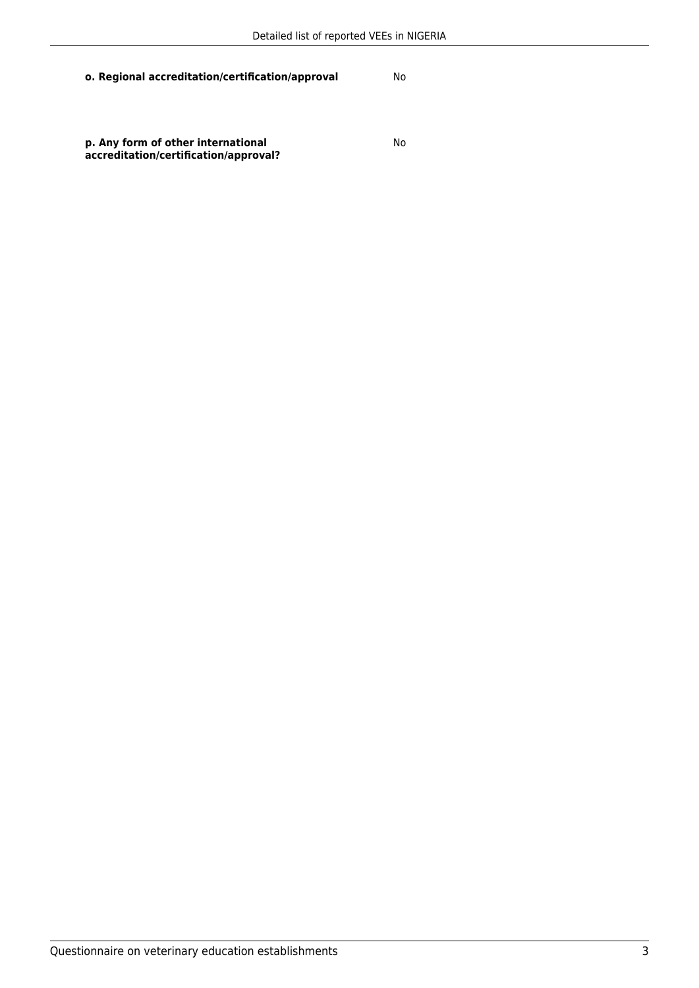**p. Any form of other international accreditation/certification/approval?**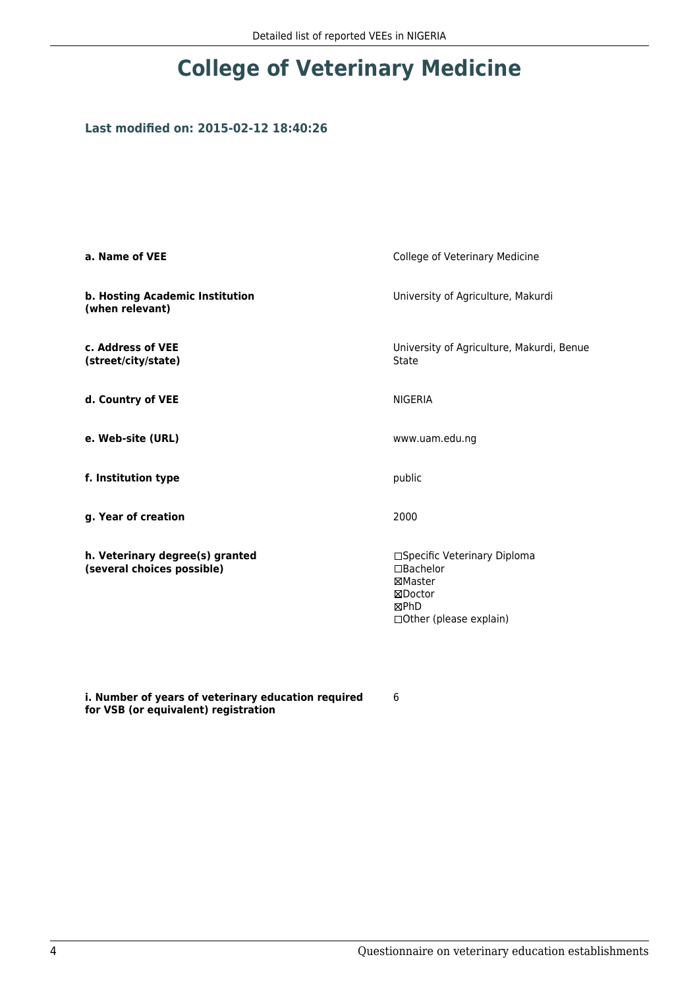# **College of Veterinary Medicine**

### **Last modified on: 2015-02-12 18:40:26**

| a. Name of VEE                                                | College of Veterinary Medicine                                                                            |
|---------------------------------------------------------------|-----------------------------------------------------------------------------------------------------------|
| b. Hosting Academic Institution<br>(when relevant)            | University of Agriculture, Makurdi                                                                        |
| c. Address of VEE<br>(street/city/state)                      | University of Agriculture, Makurdi, Benue<br>State                                                        |
| d. Country of VEE                                             | <b>NIGERIA</b>                                                                                            |
| e. Web-site (URL)                                             | www.uam.edu.ng                                                                                            |
| f. Institution type                                           | public                                                                                                    |
| g. Year of creation                                           | 2000                                                                                                      |
| h. Veterinary degree(s) granted<br>(several choices possible) | □Specific Veterinary Diploma<br>$\Box$ Bachelor<br>⊠Master<br>⊠Doctor<br>⊠PhD<br>□ Other (please explain) |

**i. Number of years of veterinary education required for VSB (or equivalent) registration**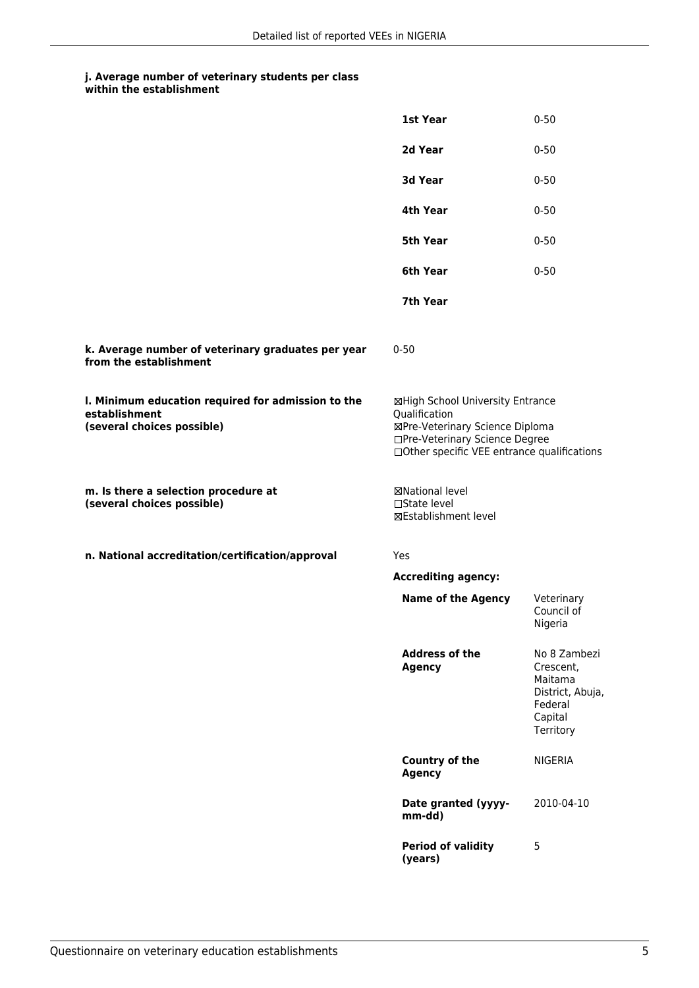#### **j. Average number of veterinary students per class within the establishment**

|                                                                                                   | 1st Year                                                                                                                                                              | $0 - 50$                                                                                    |
|---------------------------------------------------------------------------------------------------|-----------------------------------------------------------------------------------------------------------------------------------------------------------------------|---------------------------------------------------------------------------------------------|
|                                                                                                   | 2d Year                                                                                                                                                               | $0 - 50$                                                                                    |
|                                                                                                   | 3d Year                                                                                                                                                               | $0 - 50$                                                                                    |
|                                                                                                   | 4th Year                                                                                                                                                              | $0 - 50$                                                                                    |
|                                                                                                   | 5th Year                                                                                                                                                              | $0 - 50$                                                                                    |
|                                                                                                   | 6th Year                                                                                                                                                              | $0 - 50$                                                                                    |
|                                                                                                   | 7th Year                                                                                                                                                              |                                                                                             |
| k. Average number of veterinary graduates per year<br>from the establishment                      | $0 - 50$                                                                                                                                                              |                                                                                             |
| I. Minimum education required for admission to the<br>establishment<br>(several choices possible) | ⊠High School University Entrance<br>Qualification<br>⊠Pre-Veterinary Science Diploma<br>□Pre-Veterinary Science Degree<br>□Other specific VEE entrance qualifications |                                                                                             |
| m. Is there a selection procedure at<br>(several choices possible)                                | ⊠National level<br>$\Box$ State level<br>⊠Establishment level                                                                                                         |                                                                                             |
| n. National accreditation/certification/approval                                                  | Yes                                                                                                                                                                   |                                                                                             |
|                                                                                                   | <b>Accrediting agency:</b>                                                                                                                                            |                                                                                             |
|                                                                                                   | <b>Name of the Agency</b>                                                                                                                                             | Veterinary<br>Council of<br>Nigeria                                                         |
|                                                                                                   | <b>Address of the</b><br><b>Agency</b>                                                                                                                                | No 8 Zambezi<br>Crescent,<br>Maitama<br>District, Abuja,<br>Federal<br>Capital<br>Territory |
|                                                                                                   | Country of the<br><b>Agency</b>                                                                                                                                       | <b>NIGERIA</b>                                                                              |
|                                                                                                   | Date granted (yyyy-<br>mm-dd)                                                                                                                                         | 2010-04-10                                                                                  |
|                                                                                                   | <b>Period of validity</b><br>(years)                                                                                                                                  | 5                                                                                           |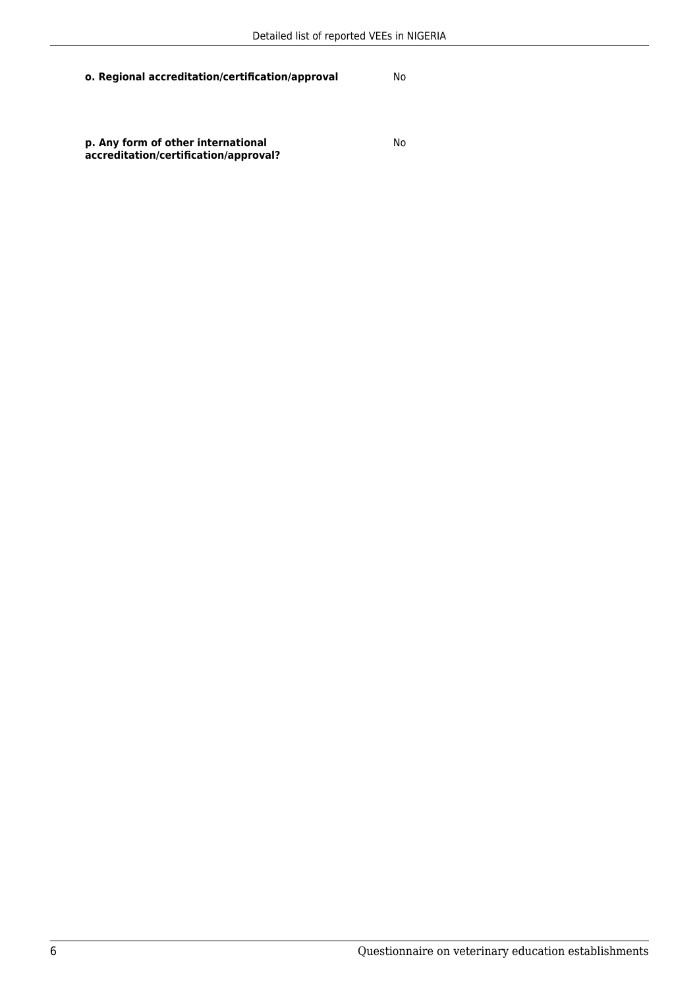**p. Any form of other international accreditation/certification/approval?**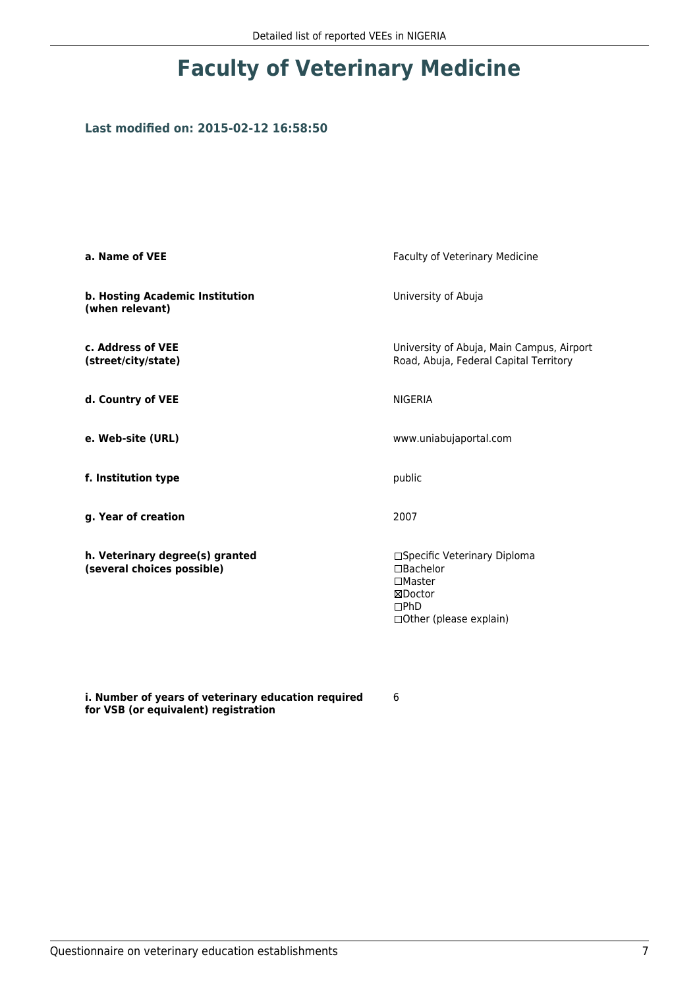### **Last modified on: 2015-02-12 16:58:50**

| a. Name of VEE                                                | <b>Faculty of Veterinary Medicine</b>                                                                              |
|---------------------------------------------------------------|--------------------------------------------------------------------------------------------------------------------|
| b. Hosting Academic Institution<br>(when relevant)            | University of Abuja                                                                                                |
| c. Address of VEE<br>(street/city/state)                      | University of Abuja, Main Campus, Airport<br>Road, Abuja, Federal Capital Territory                                |
| d. Country of VEE                                             | <b>NIGERIA</b>                                                                                                     |
| e. Web-site (URL)                                             | www.uniabujaportal.com                                                                                             |
| f. Institution type                                           | public                                                                                                             |
| g. Year of creation                                           | 2007                                                                                                               |
| h. Veterinary degree(s) granted<br>(several choices possible) | □Specific Veterinary Diploma<br>$\Box$ Bachelor<br>$\square$ Master<br>⊠Doctor<br>DPhD<br>□ Other (please explain) |

**i. Number of years of veterinary education required for VSB (or equivalent) registration**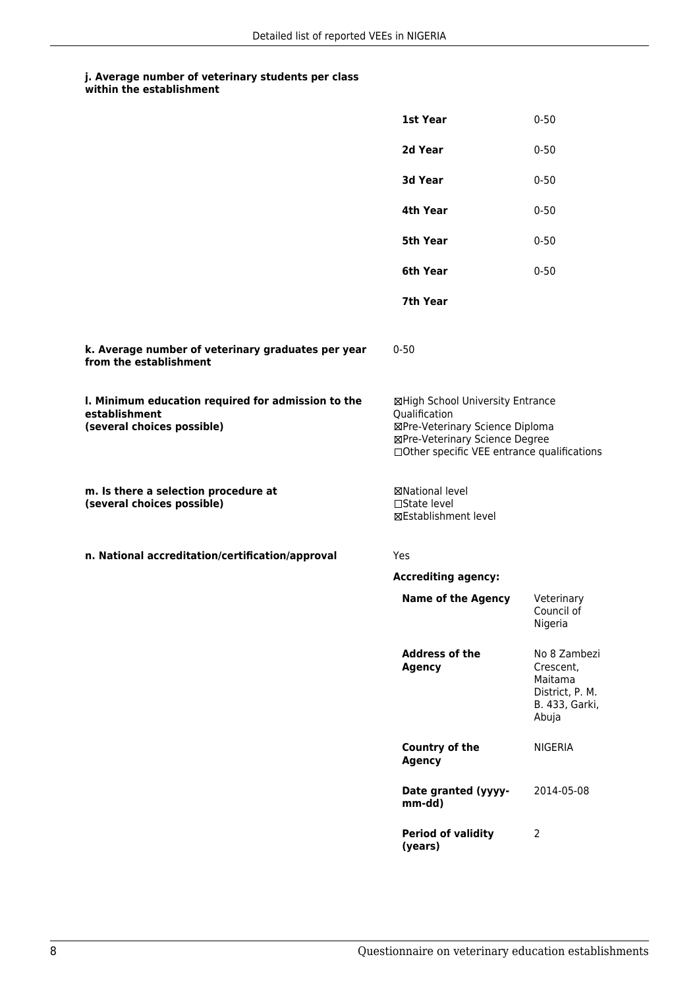#### **j. Average number of veterinary students per class within the establishment**

|                                                                                                   | 1st Year                                                                                                                                                              | $0 - 50$                                                                           |
|---------------------------------------------------------------------------------------------------|-----------------------------------------------------------------------------------------------------------------------------------------------------------------------|------------------------------------------------------------------------------------|
|                                                                                                   | 2d Year                                                                                                                                                               | $0 - 50$                                                                           |
|                                                                                                   | 3d Year                                                                                                                                                               | $0 - 50$                                                                           |
|                                                                                                   | 4th Year                                                                                                                                                              | $0 - 50$                                                                           |
|                                                                                                   | 5th Year                                                                                                                                                              | $0 - 50$                                                                           |
|                                                                                                   | 6th Year                                                                                                                                                              | $0 - 50$                                                                           |
|                                                                                                   | 7th Year                                                                                                                                                              |                                                                                    |
| k. Average number of veterinary graduates per year<br>from the establishment                      | $0 - 50$                                                                                                                                                              |                                                                                    |
| I. Minimum education required for admission to the<br>establishment<br>(several choices possible) | ⊠High School University Entrance<br>Qualification<br>⊠Pre-Veterinary Science Diploma<br>⊠Pre-Veterinary Science Degree<br>□Other specific VEE entrance qualifications |                                                                                    |
| m. Is there a selection procedure at<br>(several choices possible)                                | ⊠National level<br>$\Box$ State level<br>⊠Establishment level                                                                                                         |                                                                                    |
| n. National accreditation/certification/approval                                                  | Yes                                                                                                                                                                   |                                                                                    |
|                                                                                                   | <b>Accrediting agency:</b>                                                                                                                                            |                                                                                    |
|                                                                                                   | <b>Name of the Agency</b>                                                                                                                                             | Veterinary<br>Council of<br>Nigeria                                                |
|                                                                                                   | <b>Address of the</b><br><b>Agency</b>                                                                                                                                | No 8 Zambezi<br>Crescent,<br>Maitama<br>District, P. M.<br>B. 433, Garki,<br>Abuja |
|                                                                                                   | <b>Country of the</b><br><b>Agency</b>                                                                                                                                | NIGERIA                                                                            |
|                                                                                                   | Date granted (yyyy-<br>mm-dd)                                                                                                                                         | 2014-05-08                                                                         |
|                                                                                                   | <b>Period of validity</b><br>(years)                                                                                                                                  | $\overline{2}$                                                                     |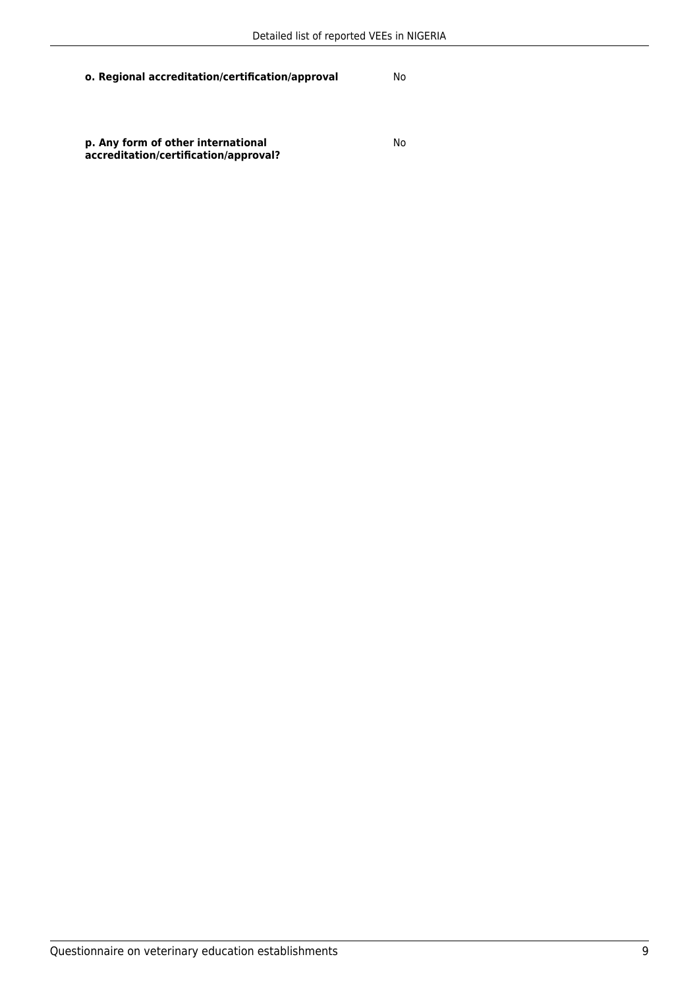**p. Any form of other international accreditation/certification/approval?**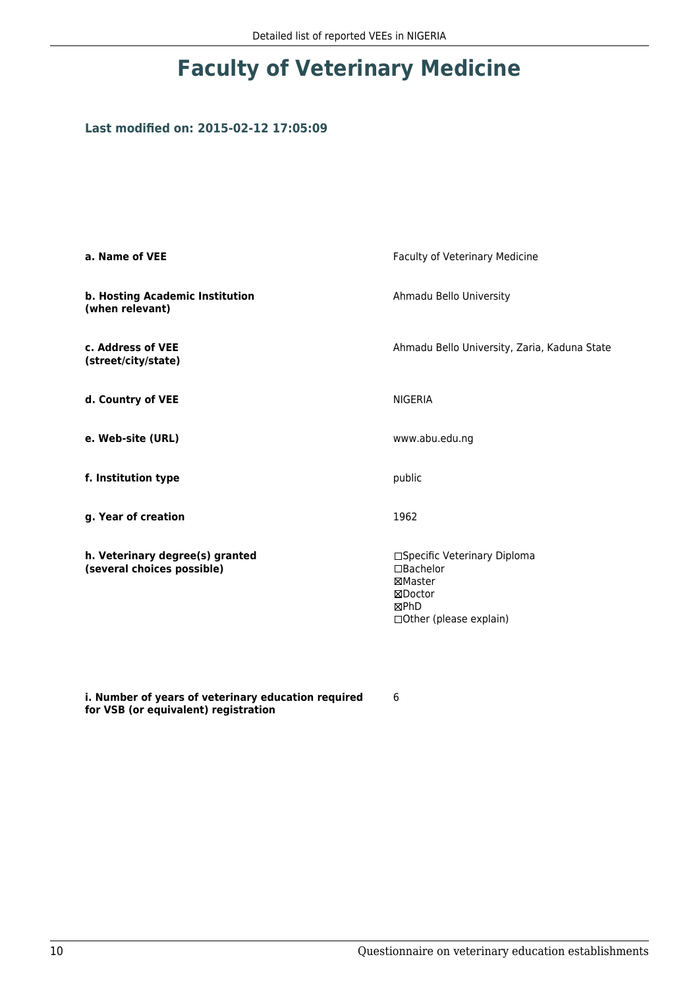#### **Last modified on: 2015-02-12 17:05:09**

| a. Name of VEE                                                | Faculty of Veterinary Medicine                                                                      |
|---------------------------------------------------------------|-----------------------------------------------------------------------------------------------------|
| b. Hosting Academic Institution<br>(when relevant)            | Ahmadu Bello University                                                                             |
| c. Address of VEE<br>(street/city/state)                      | Ahmadu Bello University, Zaria, Kaduna State                                                        |
| d. Country of VEE                                             | <b>NIGERIA</b>                                                                                      |
| e. Web-site (URL)                                             | www.abu.edu.ng                                                                                      |
| f. Institution type                                           | public                                                                                              |
| g. Year of creation                                           | 1962                                                                                                |
| h. Veterinary degree(s) granted<br>(several choices possible) | □Specific Veterinary Diploma<br>□Bachelor<br>⊠Master<br>⊠Doctor<br>⊠PhD<br>□ Other (please explain) |

**i. Number of years of veterinary education required for VSB (or equivalent) registration**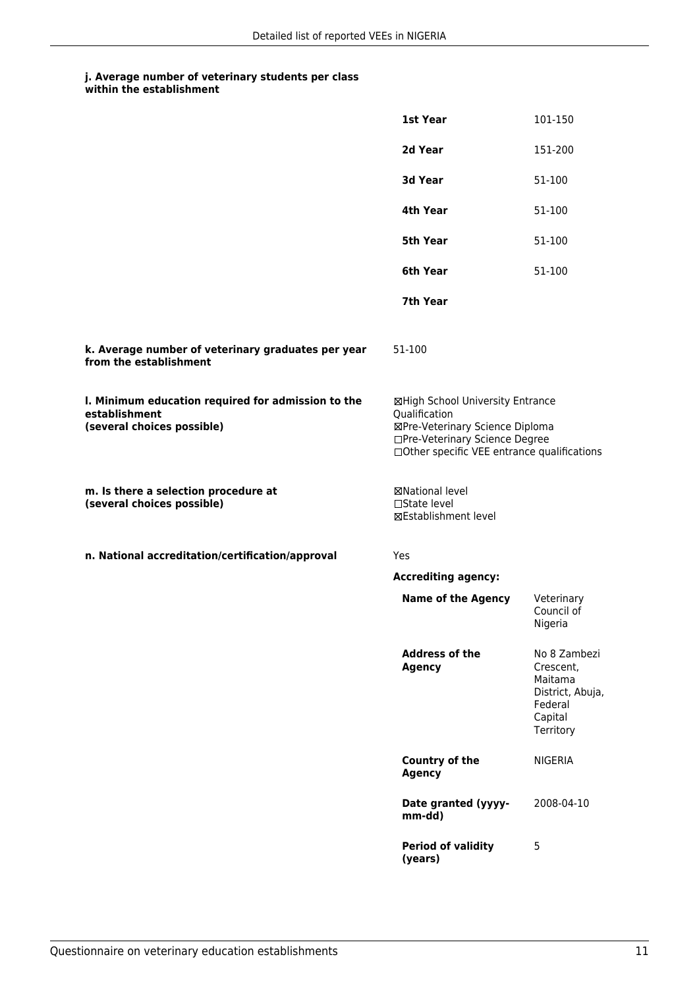## **j. Average number of veterinary students per class**

| within the establishment |  |
|--------------------------|--|
|--------------------------|--|

|                                                                                                   | 1st Year                                                                                                                                                              | 101-150                                                                                     |
|---------------------------------------------------------------------------------------------------|-----------------------------------------------------------------------------------------------------------------------------------------------------------------------|---------------------------------------------------------------------------------------------|
|                                                                                                   | 2d Year                                                                                                                                                               | 151-200                                                                                     |
|                                                                                                   | 3d Year                                                                                                                                                               | 51-100                                                                                      |
|                                                                                                   | 4th Year                                                                                                                                                              | 51-100                                                                                      |
|                                                                                                   | 5th Year                                                                                                                                                              | 51-100                                                                                      |
|                                                                                                   | 6th Year                                                                                                                                                              | 51-100                                                                                      |
|                                                                                                   | 7th Year                                                                                                                                                              |                                                                                             |
| k. Average number of veterinary graduates per year<br>from the establishment                      | 51-100                                                                                                                                                                |                                                                                             |
| I. Minimum education required for admission to the<br>establishment<br>(several choices possible) | ⊠High School University Entrance<br>Qualification<br>⊠Pre-Veterinary Science Diploma<br>□Pre-Veterinary Science Degree<br>□Other specific VEE entrance qualifications |                                                                                             |
| m. Is there a selection procedure at<br>(several choices possible)                                | ⊠National level<br>□State level<br><b>⊠Establishment level</b>                                                                                                        |                                                                                             |
| n. National accreditation/certification/approval                                                  | Yes                                                                                                                                                                   |                                                                                             |
|                                                                                                   | <b>Accrediting agency:</b>                                                                                                                                            |                                                                                             |
|                                                                                                   | <b>Name of the Agency</b>                                                                                                                                             | Veterinary<br>Council of<br>Nigeria                                                         |
|                                                                                                   | <b>Address of the</b><br><b>Agency</b>                                                                                                                                | No 8 Zambezi<br>Crescent,<br>Maitama<br>District, Abuja,<br>Federal<br>Capital<br>Territory |
|                                                                                                   | Country of the<br><b>Agency</b>                                                                                                                                       | <b>NIGERIA</b>                                                                              |
|                                                                                                   | Date granted (yyyy-<br>mm-dd)                                                                                                                                         | 2008-04-10                                                                                  |
|                                                                                                   | <b>Period of validity</b><br>(years)                                                                                                                                  | 5                                                                                           |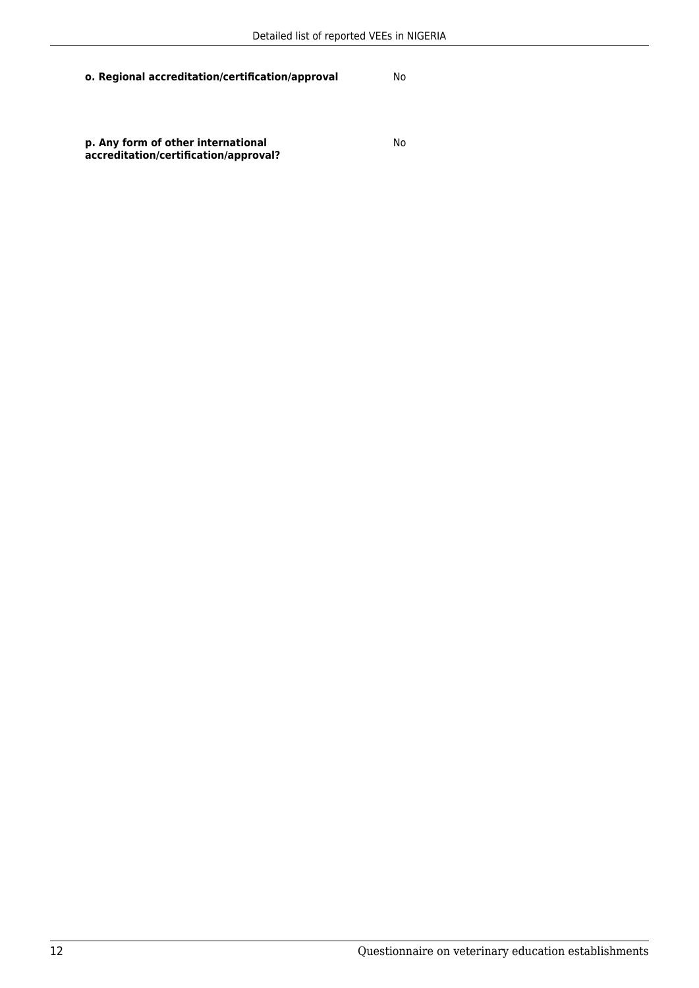**p. Any form of other international accreditation/certification/approval?**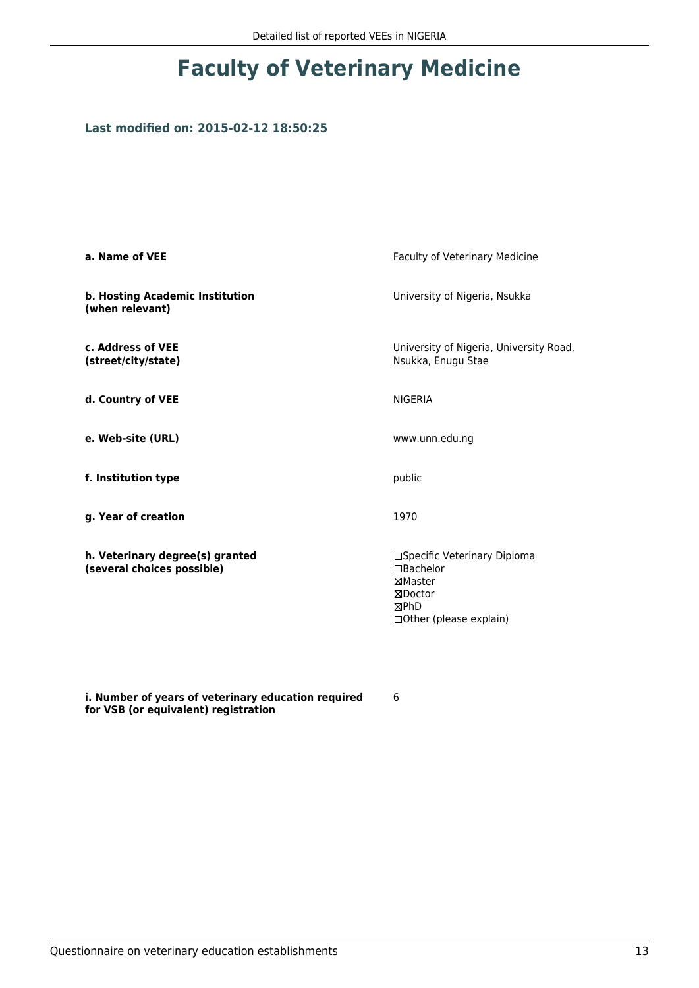### **Last modified on: 2015-02-12 18:50:25**

| a. Name of VEE                                                | Faculty of Veterinary Medicine                                                                      |
|---------------------------------------------------------------|-----------------------------------------------------------------------------------------------------|
| b. Hosting Academic Institution<br>(when relevant)            | University of Nigeria, Nsukka                                                                       |
| c. Address of VEE<br>(street/city/state)                      | University of Nigeria, University Road,<br>Nsukka, Enugu Stae                                       |
| d. Country of VEE                                             | <b>NIGERIA</b>                                                                                      |
| e. Web-site (URL)                                             | www.unn.edu.ng                                                                                      |
| f. Institution type                                           | public                                                                                              |
| g. Year of creation                                           | 1970                                                                                                |
| h. Veterinary degree(s) granted<br>(several choices possible) | □Specific Veterinary Diploma<br>□Bachelor<br>⊠Master<br>⊠Doctor<br>⊠PhD<br>□ Other (please explain) |

**i. Number of years of veterinary education required for VSB (or equivalent) registration**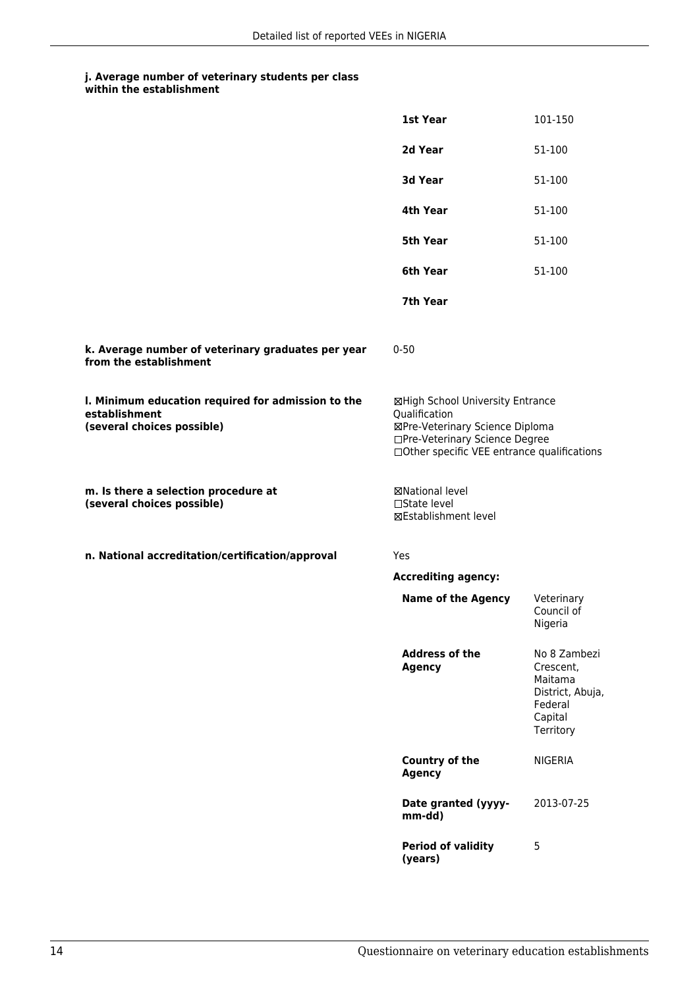## **j. Average number of veterinary students per class**

| within the establishment |
|--------------------------|
|                          |

|                                                                                                   | <b>1st Year</b>                                                                                                                                                       | 101-150                                                                                     |
|---------------------------------------------------------------------------------------------------|-----------------------------------------------------------------------------------------------------------------------------------------------------------------------|---------------------------------------------------------------------------------------------|
|                                                                                                   | 2d Year                                                                                                                                                               | 51-100                                                                                      |
|                                                                                                   | 3d Year                                                                                                                                                               | 51-100                                                                                      |
|                                                                                                   | 4th Year                                                                                                                                                              | 51-100                                                                                      |
|                                                                                                   | 5th Year                                                                                                                                                              | 51-100                                                                                      |
|                                                                                                   | 6th Year                                                                                                                                                              | 51-100                                                                                      |
|                                                                                                   | 7th Year                                                                                                                                                              |                                                                                             |
| k. Average number of veterinary graduates per year<br>from the establishment                      | $0 - 50$                                                                                                                                                              |                                                                                             |
| I. Minimum education required for admission to the<br>establishment<br>(several choices possible) | ⊠High School University Entrance<br>Qualification<br>⊠Pre-Veterinary Science Diploma<br>□Pre-Veterinary Science Degree<br>□Other specific VEE entrance qualifications |                                                                                             |
| m. Is there a selection procedure at<br>(several choices possible)                                | <b>⊠National level</b><br>□State level<br>⊠Establishment level                                                                                                        |                                                                                             |
| n. National accreditation/certification/approval                                                  | Yes                                                                                                                                                                   |                                                                                             |
|                                                                                                   | <b>Accrediting agency:</b>                                                                                                                                            |                                                                                             |
|                                                                                                   | <b>Name of the Agency</b>                                                                                                                                             | Veterinary<br>Council of<br>Nigeria                                                         |
|                                                                                                   | <b>Address of the</b><br><b>Agency</b>                                                                                                                                | No 8 Zambezi<br>Crescent,<br>Maitama<br>District, Abuja,<br>Federal<br>Capital<br>Territory |
|                                                                                                   | <b>Country of the</b><br><b>Agency</b>                                                                                                                                | <b>NIGERIA</b>                                                                              |
|                                                                                                   | Date granted (yyyy-<br>mm-dd)                                                                                                                                         | 2013-07-25                                                                                  |
|                                                                                                   | <b>Period of validity</b><br>(years)                                                                                                                                  | 5                                                                                           |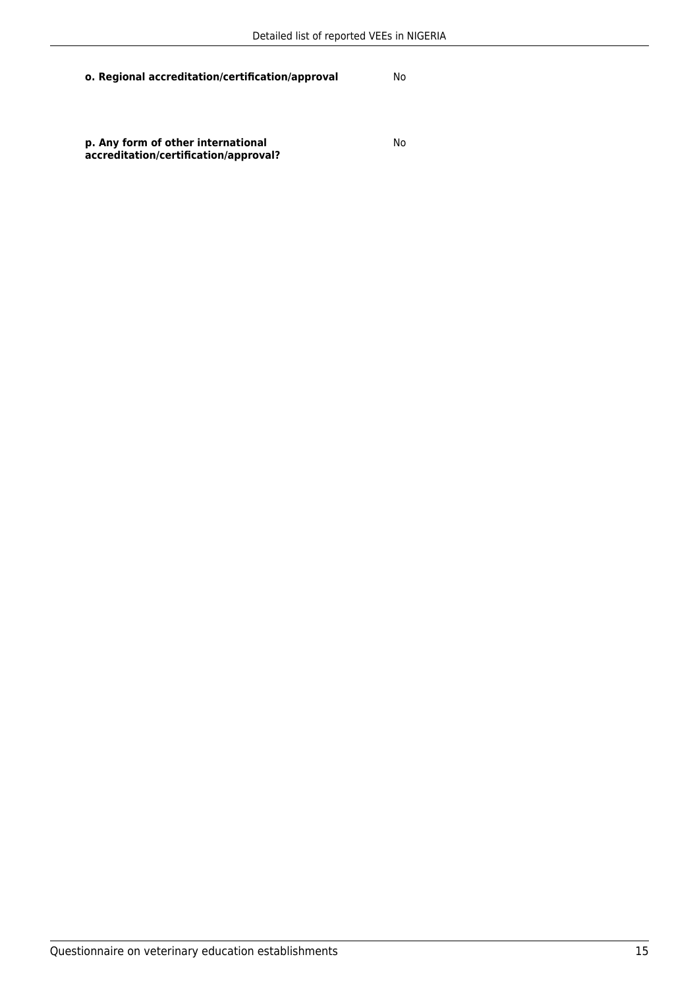**p. Any form of other international accreditation/certification/approval?**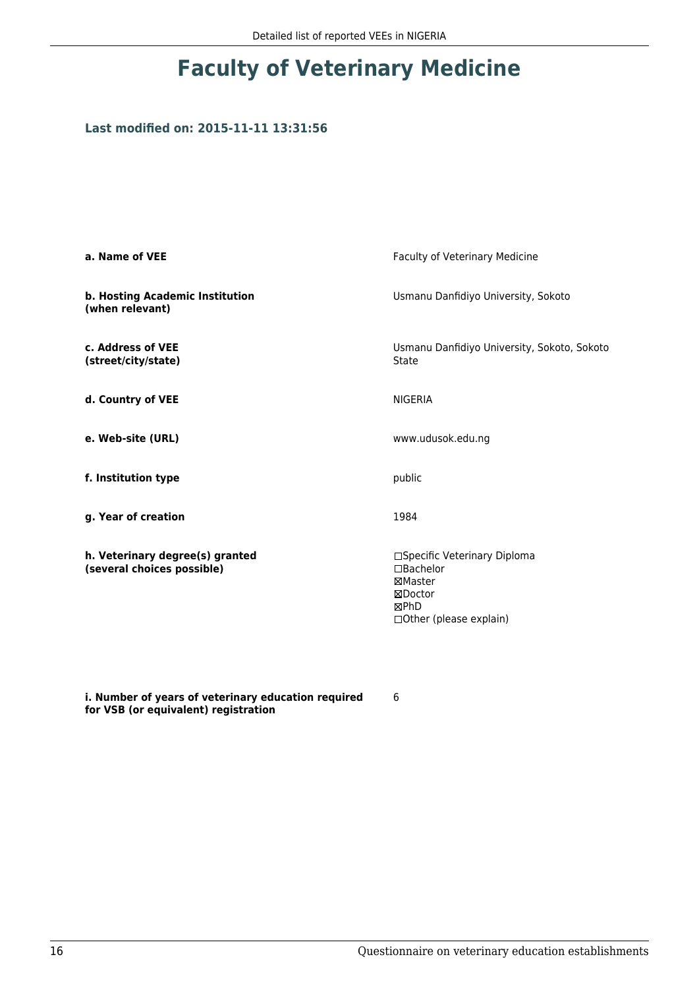### **Last modified on: 2015-11-11 13:31:56**

| a. Name of VEE                                                | Faculty of Veterinary Medicine                                                                               |  |
|---------------------------------------------------------------|--------------------------------------------------------------------------------------------------------------|--|
| b. Hosting Academic Institution<br>(when relevant)            | Usmanu Danfidiyo University, Sokoto                                                                          |  |
| c. Address of VEE<br>(street/city/state)                      | Usmanu Danfidiyo University, Sokoto, Sokoto<br>State                                                         |  |
| d. Country of VEE                                             | <b>NIGERIA</b>                                                                                               |  |
| e. Web-site (URL)                                             | www.udusok.edu.ng                                                                                            |  |
| f. Institution type                                           | public                                                                                                       |  |
| g. Year of creation                                           | 1984                                                                                                         |  |
| h. Veterinary degree(s) granted<br>(several choices possible) | □Specific Veterinary Diploma<br>$\square$ Bachelor<br>⊠Master<br>⊠Doctor<br>⊠PhD<br>□ Other (please explain) |  |

**i. Number of years of veterinary education required for VSB (or equivalent) registration**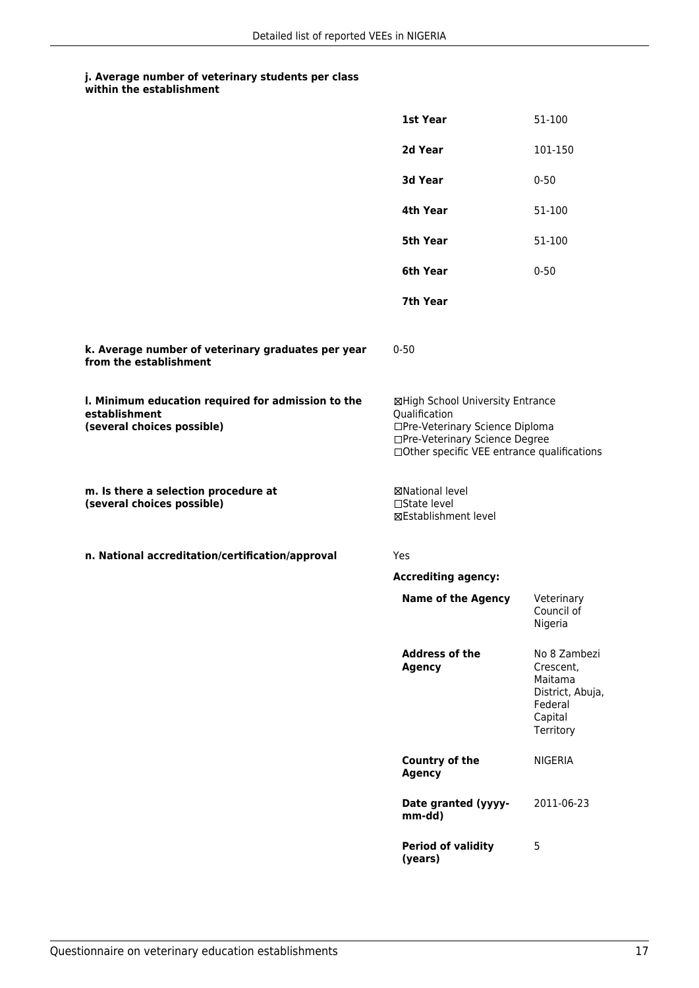## **j. Average number of veterinary students per class**

| within the establishment |
|--------------------------|
|                          |

|                                                                                                   | 1st Year                                                                                                                                                              | 51-100                                                                                      |
|---------------------------------------------------------------------------------------------------|-----------------------------------------------------------------------------------------------------------------------------------------------------------------------|---------------------------------------------------------------------------------------------|
|                                                                                                   | 2d Year                                                                                                                                                               | 101-150                                                                                     |
|                                                                                                   | 3d Year                                                                                                                                                               | $0 - 50$                                                                                    |
|                                                                                                   | 4th Year                                                                                                                                                              | 51-100                                                                                      |
|                                                                                                   | 5th Year                                                                                                                                                              | 51-100                                                                                      |
|                                                                                                   | 6th Year                                                                                                                                                              | $0 - 50$                                                                                    |
|                                                                                                   | 7th Year                                                                                                                                                              |                                                                                             |
| k. Average number of veterinary graduates per year<br>from the establishment                      | $0 - 50$                                                                                                                                                              |                                                                                             |
| I. Minimum education required for admission to the<br>establishment<br>(several choices possible) | ⊠High School University Entrance<br>Qualification<br>□Pre-Veterinary Science Diploma<br>□Pre-Veterinary Science Degree<br>□Other specific VEE entrance qualifications |                                                                                             |
| m. Is there a selection procedure at<br>(several choices possible)                                | ⊠National level<br>$\square$ State level<br>⊠Establishment level                                                                                                      |                                                                                             |
| n. National accreditation/certification/approval                                                  | Yes                                                                                                                                                                   |                                                                                             |
|                                                                                                   | <b>Accrediting agency:</b>                                                                                                                                            |                                                                                             |
|                                                                                                   | <b>Name of the Agency</b>                                                                                                                                             | Veterinary<br>Council of<br>Nigeria                                                         |
|                                                                                                   | <b>Address of the</b><br><b>Agency</b>                                                                                                                                | No 8 Zambezi<br>Crescent,<br>Maitama<br>District, Abuja,<br>Federal<br>Capital<br>Territory |
|                                                                                                   | Country of the<br><b>Agency</b>                                                                                                                                       | <b>NIGERIA</b>                                                                              |
|                                                                                                   | Date granted (yyyy-<br>mm-dd)                                                                                                                                         | 2011-06-23                                                                                  |
|                                                                                                   | <b>Period of validity</b><br>(years)                                                                                                                                  | 5                                                                                           |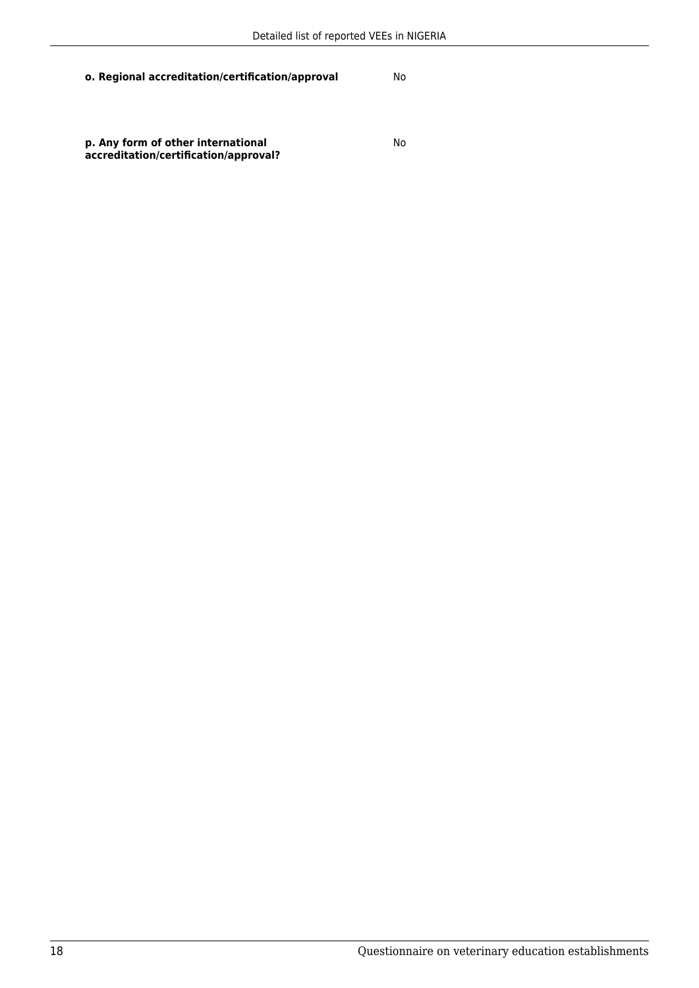**p. Any form of other international accreditation/certification/approval?**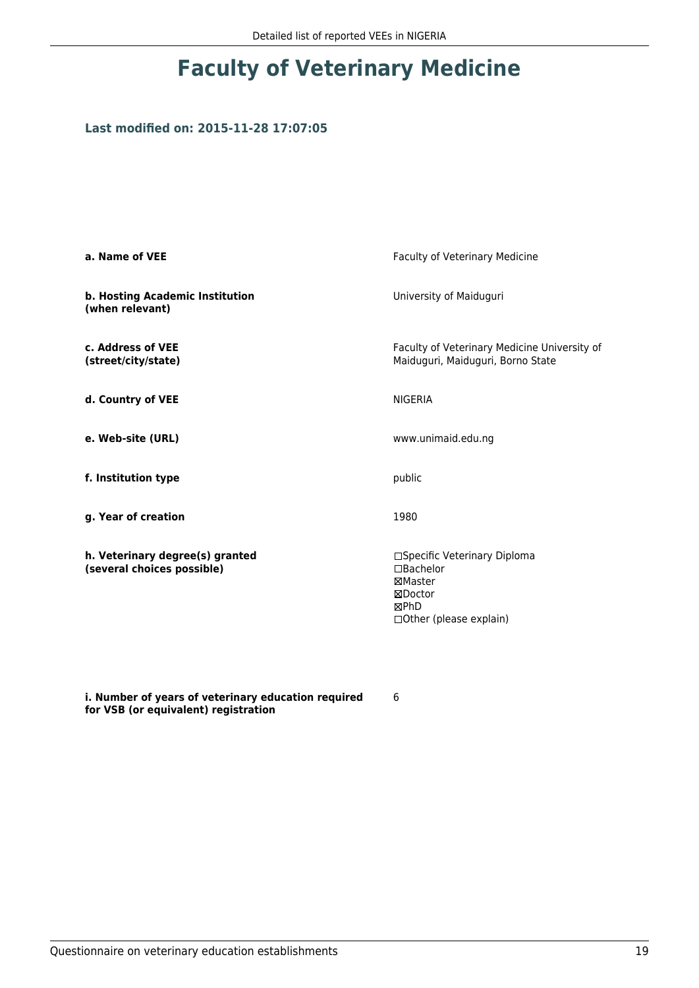### **Last modified on: 2015-11-28 17:07:05**

| a. Name of VEE                                                | Faculty of Veterinary Medicine                                                                      |
|---------------------------------------------------------------|-----------------------------------------------------------------------------------------------------|
| b. Hosting Academic Institution<br>(when relevant)            | University of Maiduguri                                                                             |
| c. Address of VEE<br>(street/city/state)                      | Faculty of Veterinary Medicine University of<br>Maiduguri, Maiduguri, Borno State                   |
| d. Country of VEE                                             | <b>NIGERIA</b>                                                                                      |
| e. Web-site (URL)                                             | www.unimaid.edu.ng                                                                                  |
| f. Institution type                                           | public                                                                                              |
| g. Year of creation                                           | 1980                                                                                                |
| h. Veterinary degree(s) granted<br>(several choices possible) | □Specific Veterinary Diploma<br>□Bachelor<br>⊠Master<br>⊠Doctor<br>⊠PhD<br>□ Other (please explain) |

**i. Number of years of veterinary education required for VSB (or equivalent) registration**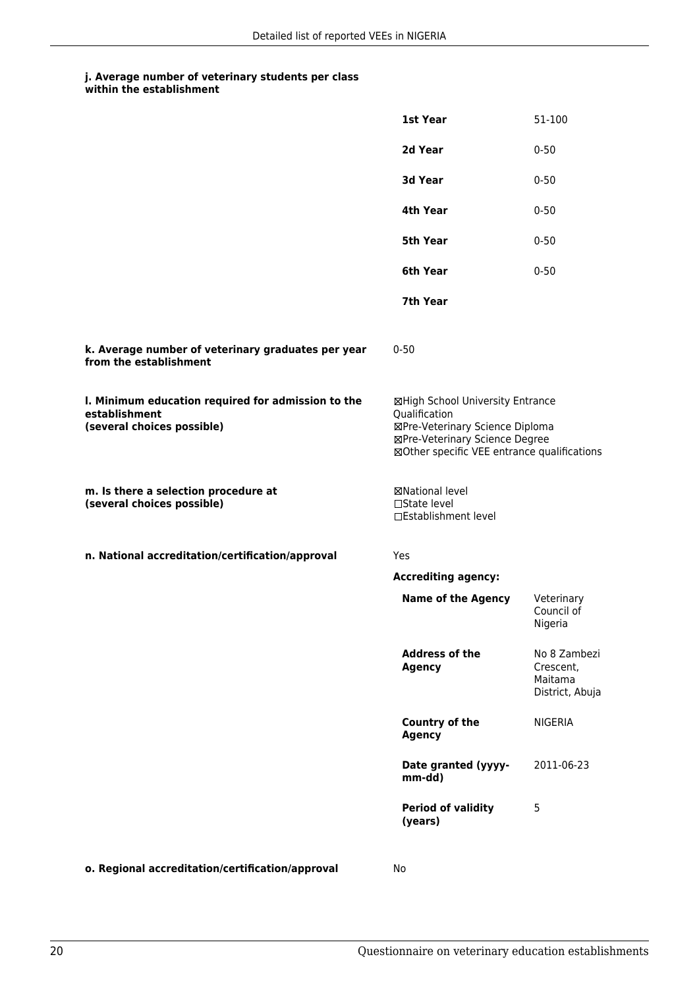## **j. Average number of veterinary students per class**

|                                                                                                   | <b>1st Year</b>                                                                                                                                                       | 51-100                                                  |
|---------------------------------------------------------------------------------------------------|-----------------------------------------------------------------------------------------------------------------------------------------------------------------------|---------------------------------------------------------|
|                                                                                                   | 2d Year                                                                                                                                                               | $0 - 50$                                                |
|                                                                                                   | 3d Year                                                                                                                                                               | $0 - 50$                                                |
|                                                                                                   | 4th Year                                                                                                                                                              | $0 - 50$                                                |
|                                                                                                   | 5th Year                                                                                                                                                              | $0 - 50$                                                |
|                                                                                                   | 6th Year                                                                                                                                                              | $0 - 50$                                                |
|                                                                                                   | 7th Year                                                                                                                                                              |                                                         |
| k. Average number of veterinary graduates per year<br>from the establishment                      | $0 - 50$                                                                                                                                                              |                                                         |
| I. Minimum education required for admission to the<br>establishment<br>(several choices possible) | ⊠High School University Entrance<br>Qualification<br>⊠Pre-Veterinary Science Diploma<br>⊠Pre-Veterinary Science Degree<br>⊠Other specific VEE entrance qualifications |                                                         |
| m. Is there a selection procedure at<br>(several choices possible)                                | ⊠National level<br>$\Box$ State level<br>□Establishment level                                                                                                         |                                                         |
| n. National accreditation/certification/approval                                                  | Yes                                                                                                                                                                   |                                                         |
|                                                                                                   | <b>Accrediting agency:</b>                                                                                                                                            |                                                         |
|                                                                                                   | <b>Name of the Agency</b>                                                                                                                                             | Veterinary<br>Council of<br>Nigeria                     |
|                                                                                                   | <b>Address of the</b><br>Agency                                                                                                                                       | No 8 Zambezi<br>Crescent,<br>Maitama<br>District, Abuja |
|                                                                                                   | <b>Country of the</b><br><b>Agency</b>                                                                                                                                | <b>NIGERIA</b>                                          |
|                                                                                                   | Date granted (yyyy-<br>mm-dd)                                                                                                                                         | 2011-06-23                                              |
|                                                                                                   | <b>Period of validity</b><br>(years)                                                                                                                                  | 5                                                       |
|                                                                                                   |                                                                                                                                                                       |                                                         |

**o. Regional accreditation/certification/approval** No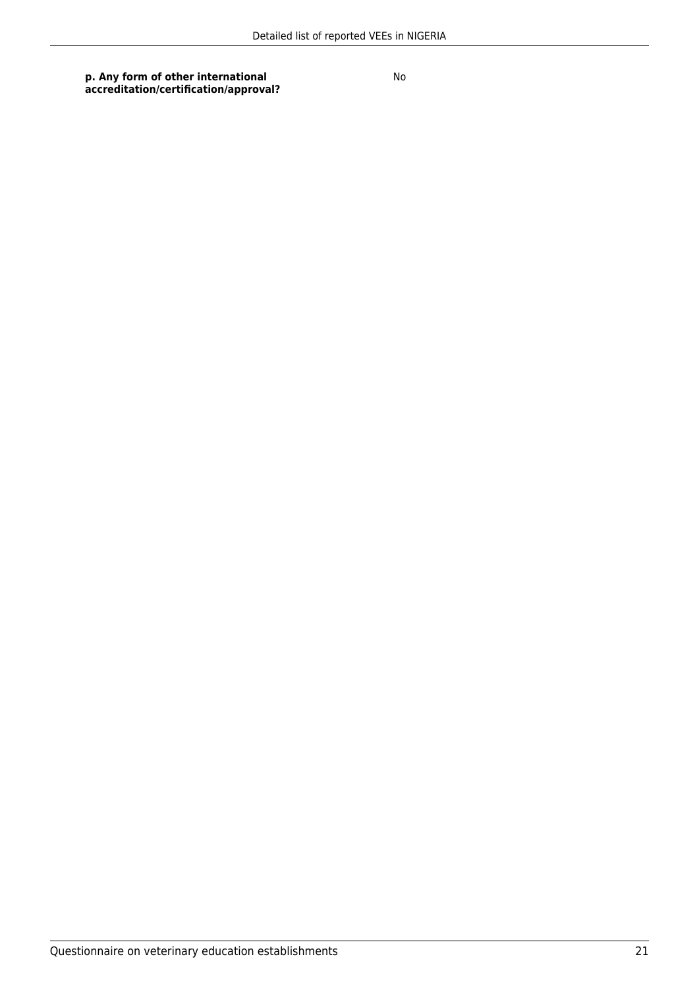**p. Any form of other international accreditation/certification/approval?**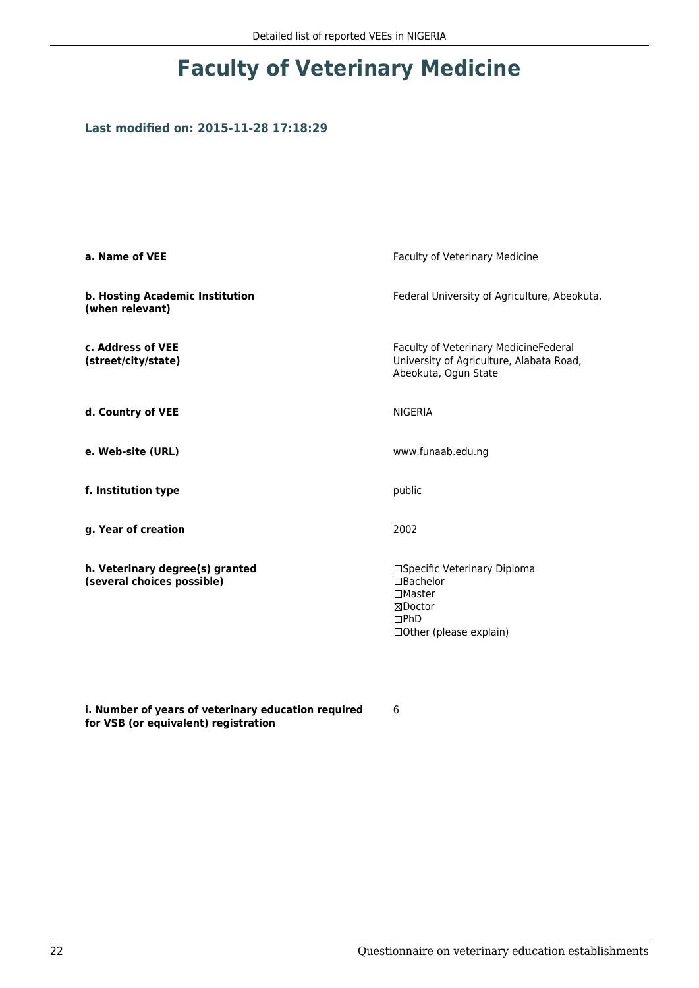### **Last modified on: 2015-11-28 17:18:29**

| a. Name of VEE                                                | Faculty of Veterinary Medicine                                                                                        |  |
|---------------------------------------------------------------|-----------------------------------------------------------------------------------------------------------------------|--|
| b. Hosting Academic Institution<br>(when relevant)            | Federal University of Agriculture, Abeokuta,                                                                          |  |
| c. Address of VEE<br>(street/city/state)                      | Faculty of Veterinary MedicineFederal<br>University of Agriculture, Alabata Road,<br>Abeokuta, Ogun State             |  |
| d. Country of VEE                                             | <b>NIGERIA</b>                                                                                                        |  |
| e. Web-site (URL)                                             | www.funaab.edu.ng                                                                                                     |  |
| f. Institution type                                           | public                                                                                                                |  |
| g. Year of creation                                           | 2002                                                                                                                  |  |
| h. Veterinary degree(s) granted<br>(several choices possible) | □Specific Veterinary Diploma<br>$\Box$ Bachelor<br>$\Box$ Master<br>⊠Doctor<br>$\Box$ PhD<br>□ Other (please explain) |  |

**i. Number of years of veterinary education required for VSB (or equivalent) registration**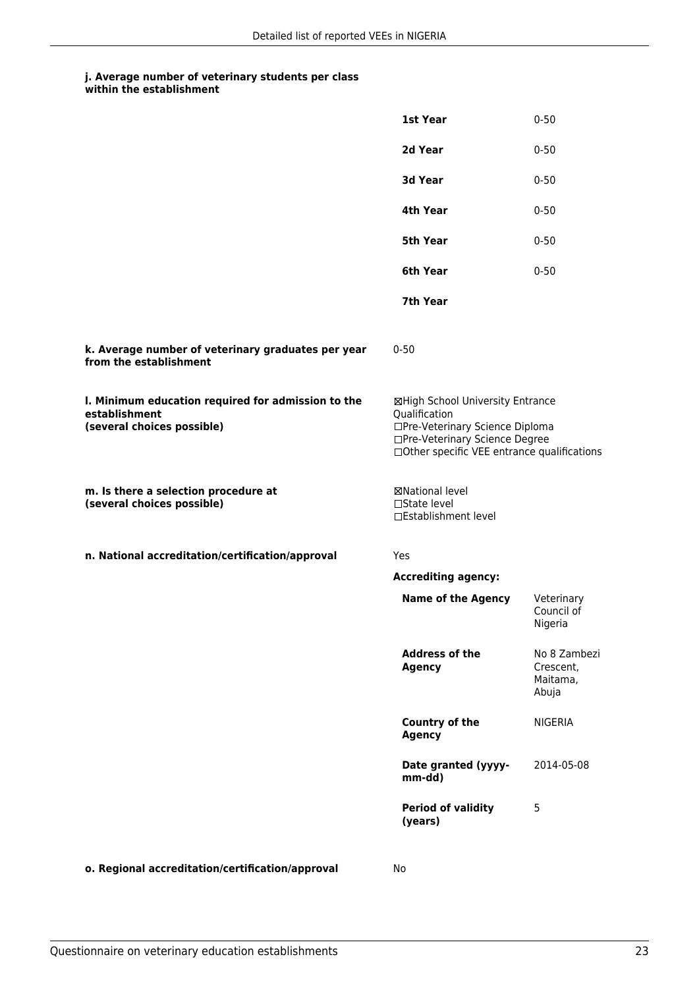#### **j. Average number of veterinary students per class within the establishment**

|                                                                                                   | 1st Year                                                                                                                                                              | $0 - 50$                                       |
|---------------------------------------------------------------------------------------------------|-----------------------------------------------------------------------------------------------------------------------------------------------------------------------|------------------------------------------------|
|                                                                                                   | 2d Year                                                                                                                                                               | $0 - 50$                                       |
|                                                                                                   | 3d Year                                                                                                                                                               | $0 - 50$                                       |
|                                                                                                   | 4th Year                                                                                                                                                              | $0 - 50$                                       |
|                                                                                                   | <b>5th Year</b>                                                                                                                                                       | $0 - 50$                                       |
|                                                                                                   | 6th Year                                                                                                                                                              | $0 - 50$                                       |
|                                                                                                   | 7th Year                                                                                                                                                              |                                                |
| k. Average number of veterinary graduates per year<br>from the establishment                      | $0 - 50$                                                                                                                                                              |                                                |
| I. Minimum education required for admission to the<br>establishment<br>(several choices possible) | ⊠High School University Entrance<br>Qualification<br>□Pre-Veterinary Science Diploma<br>□Pre-Veterinary Science Degree<br>□Other specific VEE entrance qualifications |                                                |
| m. Is there a selection procedure at<br>(several choices possible)                                | ⊠National level<br>$\square$ State level<br>□Establishment level                                                                                                      |                                                |
| n. National accreditation/certification/approval                                                  | <b>Yes</b>                                                                                                                                                            |                                                |
|                                                                                                   | <b>Accrediting agency:</b>                                                                                                                                            |                                                |
|                                                                                                   | <b>Name of the Agency</b>                                                                                                                                             | Veterinary<br>Council of<br>Nigeria            |
|                                                                                                   | <b>Address of the</b><br><b>Agency</b>                                                                                                                                | No 8 Zambezi<br>Crescent,<br>Maitama,<br>Abuja |
|                                                                                                   | <b>Country of the</b><br><b>Agency</b>                                                                                                                                | <b>NIGERIA</b>                                 |
|                                                                                                   | Date granted (yyyy-<br>mm-dd)                                                                                                                                         | 2014-05-08                                     |
|                                                                                                   | <b>Period of validity</b><br>(years)                                                                                                                                  | 5                                              |
|                                                                                                   |                                                                                                                                                                       |                                                |

**o. Regional accreditation/certification/approval** No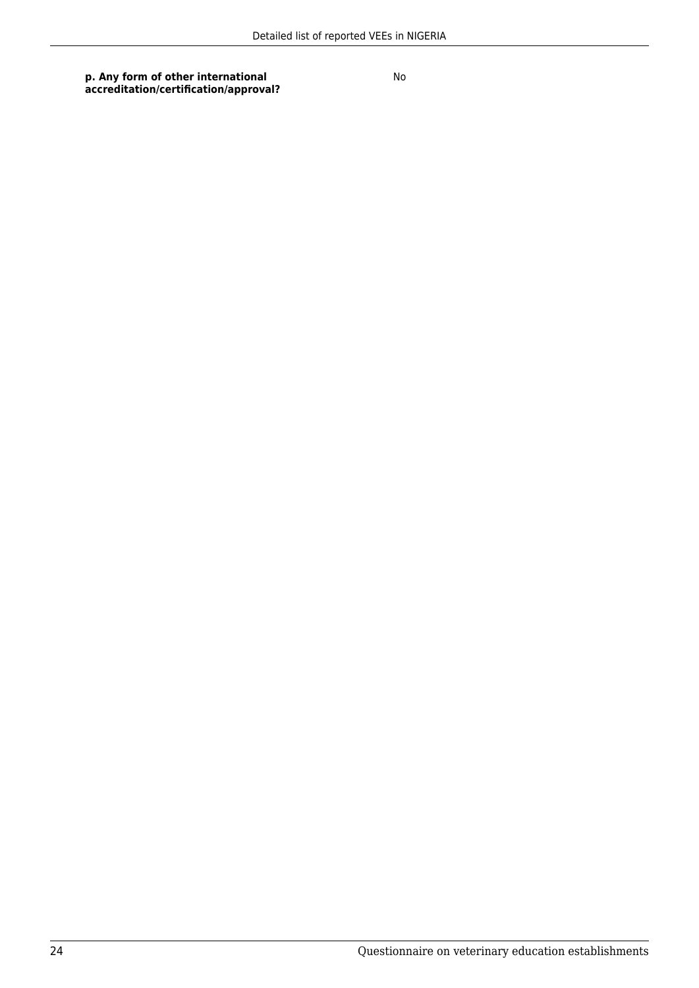**p. Any form of other international accreditation/certification/approval?**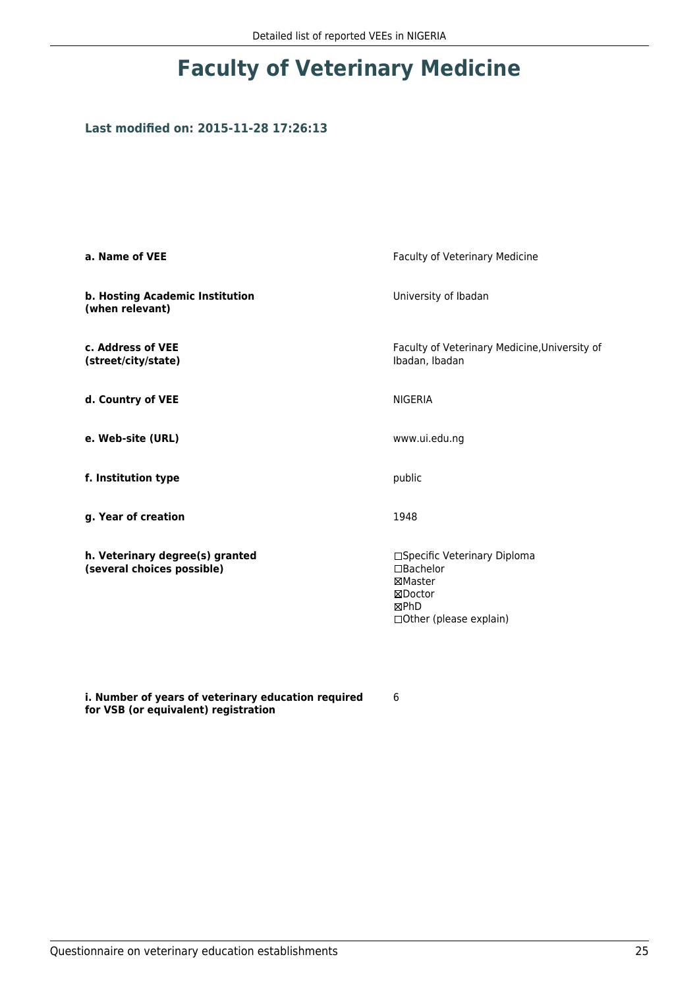### **Last modified on: 2015-11-28 17:26:13**

| a. Name of VEE                                                | Faculty of Veterinary Medicine                                                                            |
|---------------------------------------------------------------|-----------------------------------------------------------------------------------------------------------|
| b. Hosting Academic Institution<br>(when relevant)            | University of Ibadan                                                                                      |
| c. Address of VEE<br>(street/city/state)                      | Faculty of Veterinary Medicine, University of<br>Ibadan, Ibadan                                           |
| d. Country of VEE                                             | <b>NIGERIA</b>                                                                                            |
| e. Web-site (URL)                                             | www.ui.edu.ng                                                                                             |
| f. Institution type                                           | public                                                                                                    |
| g. Year of creation                                           | 1948                                                                                                      |
| h. Veterinary degree(s) granted<br>(several choices possible) | □Specific Veterinary Diploma<br>$\Box$ Bachelor<br>⊠Master<br>⊠Doctor<br>⊠PhD<br>□ Other (please explain) |

**i. Number of years of veterinary education required for VSB (or equivalent) registration**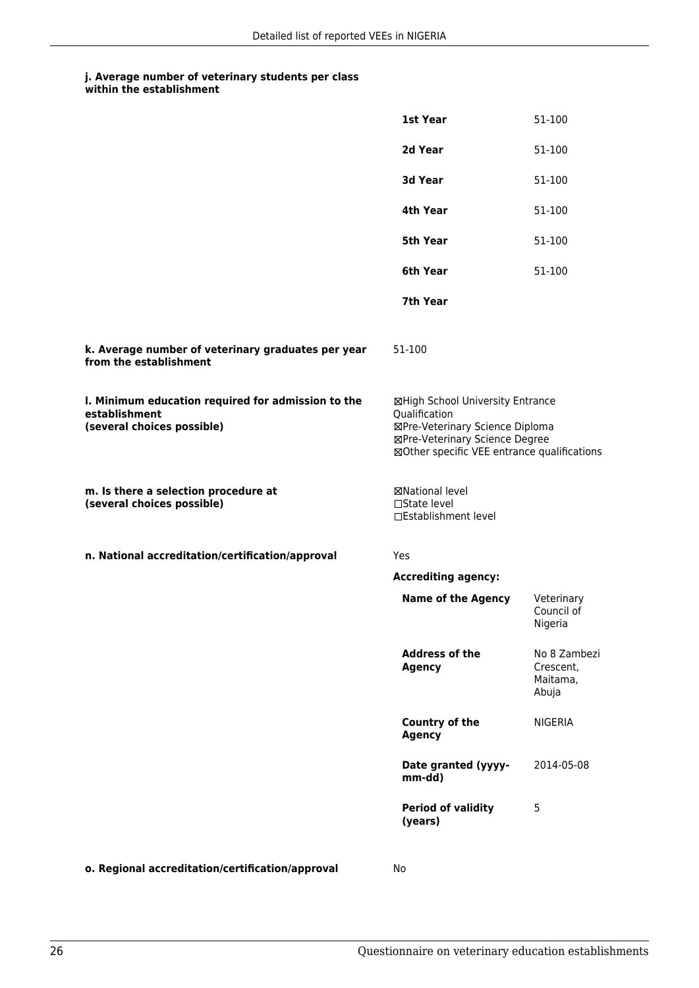## **j. Average number of veterinary students per class**

|  | within the establishment |
|--|--------------------------|
|--|--------------------------|

|                                                                                                   | 1st Year                                                                                                                                                              | 51-100                                         |
|---------------------------------------------------------------------------------------------------|-----------------------------------------------------------------------------------------------------------------------------------------------------------------------|------------------------------------------------|
|                                                                                                   | 2d Year                                                                                                                                                               | 51-100                                         |
|                                                                                                   | 3d Year                                                                                                                                                               | 51-100                                         |
|                                                                                                   | 4th Year                                                                                                                                                              | 51-100                                         |
|                                                                                                   | 5th Year                                                                                                                                                              | 51-100                                         |
|                                                                                                   | 6th Year                                                                                                                                                              | 51-100                                         |
|                                                                                                   | 7th Year                                                                                                                                                              |                                                |
| k. Average number of veterinary graduates per year<br>from the establishment                      | 51-100                                                                                                                                                                |                                                |
| I. Minimum education required for admission to the<br>establishment<br>(several choices possible) | ⊠High School University Entrance<br>Qualification<br>⊠Pre-Veterinary Science Diploma<br>⊠Pre-Veterinary Science Degree<br>⊠Other specific VEE entrance qualifications |                                                |
| m. Is there a selection procedure at<br>(several choices possible)                                | ⊠National level<br>□State level<br>□Establishment level                                                                                                               |                                                |
| n. National accreditation/certification/approval                                                  | <b>Yes</b>                                                                                                                                                            |                                                |
|                                                                                                   | <b>Accrediting agency:</b>                                                                                                                                            |                                                |
|                                                                                                   | <b>Name of the Agency</b>                                                                                                                                             | Veterinary<br>Council of<br>Nigeria            |
|                                                                                                   | <b>Address of the</b><br><b>Agency</b>                                                                                                                                | No 8 Zambezi<br>Crescent,<br>Maitama,<br>Abuja |
|                                                                                                   | Country of the<br><b>Agency</b>                                                                                                                                       | <b>NIGERIA</b>                                 |
|                                                                                                   | Date granted (yyyy-<br>mm-dd)                                                                                                                                         | 2014-05-08                                     |
|                                                                                                   | <b>Period of validity</b><br>(years)                                                                                                                                  | 5                                              |
|                                                                                                   |                                                                                                                                                                       |                                                |

**o. Regional accreditation/certification/approval** No